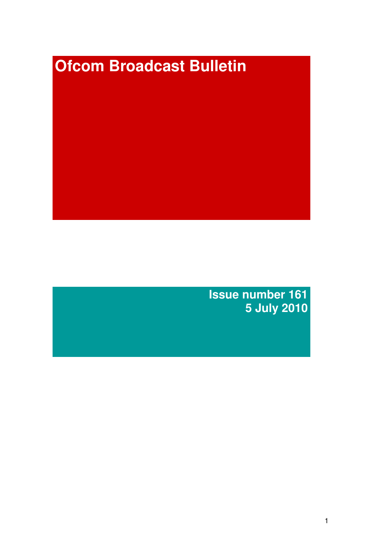# **Ofcom Broadcast Bulletin**

**Issue number 161 5 July 2010**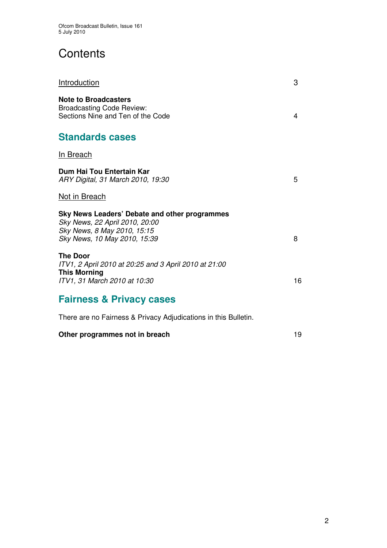# **Contents**

| Introduction                                                                                                                                   | 3  |
|------------------------------------------------------------------------------------------------------------------------------------------------|----|
| <b>Note to Broadcasters</b><br><b>Broadcasting Code Review:</b><br>Sections Nine and Ten of the Code                                           | 4  |
| <b>Standards cases</b>                                                                                                                         |    |
| <u>In Breach</u>                                                                                                                               |    |
| Dum Hai Tou Entertain Kar<br>ARY Digital, 31 March 2010, 19:30                                                                                 | 5  |
| Not in Breach                                                                                                                                  |    |
| Sky News Leaders' Debate and other programmes<br>Sky News, 22 April 2010, 20:00<br>Sky News, 8 May 2010, 15:15<br>Sky News, 10 May 2010, 15:39 | 8  |
| <b>The Door</b><br>ITV1, 2 April 2010 at 20:25 and 3 April 2010 at 21:00<br><b>This Morning</b><br>ITV1, 31 March 2010 at 10:30                | 16 |
| <b>Fairness &amp; Privacy cases</b>                                                                                                            |    |
| There are no Fairness & Privacy Adjudications in this Bulletin.                                                                                |    |
| Other programmes not in breach                                                                                                                 | 19 |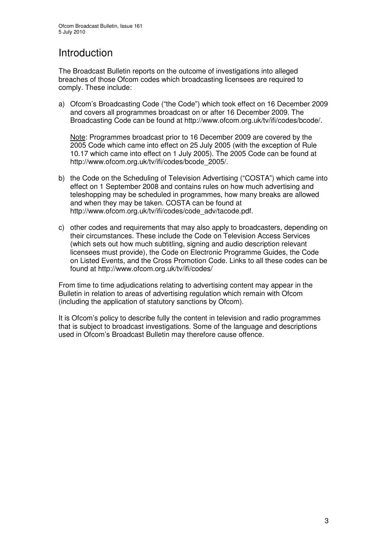# Introduction

The Broadcast Bulletin reports on the outcome of investigations into alleged breaches of those Ofcom codes which broadcasting licensees are required to comply. These include:

a) Ofcom's Broadcasting Code ("the Code") which took effect on 16 December 2009 and covers all programmes broadcast on or after 16 December 2009. The Broadcasting Code can be found at http://www.ofcom.org.uk/tv/ifi/codes/bcode/.

Note: Programmes broadcast prior to 16 December 2009 are covered by the 2005 Code which came into effect on 25 July 2005 (with the exception of Rule 10.17 which came into effect on 1 July 2005). The 2005 Code can be found at http://www.ofcom.org.uk/tv/ifi/codes/bcode\_2005/.

- b) the Code on the Scheduling of Television Advertising ("COSTA") which came into effect on 1 September 2008 and contains rules on how much advertising and teleshopping may be scheduled in programmes, how many breaks are allowed and when they may be taken. COSTA can be found at http://www.ofcom.org.uk/tv/ifi/codes/code\_adv/tacode.pdf.
- c) other codes and requirements that may also apply to broadcasters, depending on their circumstances. These include the Code on Television Access Services (which sets out how much subtitling, signing and audio description relevant licensees must provide), the Code on Electronic Programme Guides, the Code on Listed Events, and the Cross Promotion Code. Links to all these codes can be found at http://www.ofcom.org.uk/tv/ifi/codes/

From time to time adjudications relating to advertising content may appear in the Bulletin in relation to areas of advertising regulation which remain with Ofcom (including the application of statutory sanctions by Ofcom).

It is Ofcom's policy to describe fully the content in television and radio programmes that is subject to broadcast investigations. Some of the language and descriptions used in Ofcom's Broadcast Bulletin may therefore cause offence.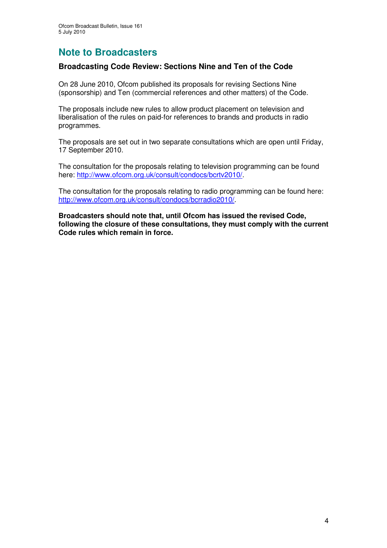# **Note to Broadcasters**

## **Broadcasting Code Review: Sections Nine and Ten of the Code**

On 28 June 2010, Ofcom published its proposals for revising Sections Nine (sponsorship) and Ten (commercial references and other matters) of the Code.

The proposals include new rules to allow product placement on television and liberalisation of the rules on paid-for references to brands and products in radio programmes.

The proposals are set out in two separate consultations which are open until Friday, 17 September 2010.

The consultation for the proposals relating to television programming can be found here: http://www.ofcom.org.uk/consult/condocs/bcrtv2010/.

The consultation for the proposals relating to radio programming can be found here: http://www.ofcom.org.uk/consult/condocs/bcrradio2010/.

**Broadcasters should note that, until Ofcom has issued the revised Code, following the closure of these consultations, they must comply with the current Code rules which remain in force.**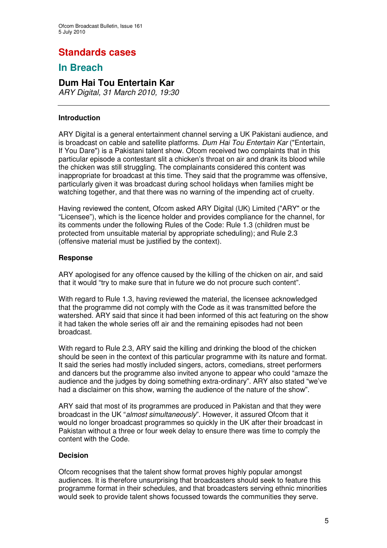# **Standards cases**

## **In Breach**

## **Dum Hai Tou Entertain Kar**

*ARY Digital, 31 March 2010, 19:30*

#### **Introduction**

ARY Digital is a general entertainment channel serving a UK Pakistani audience, and is broadcast on cable and satellite platforms. *Dum Hai Tou Entertain Kar* ("Entertain, If You Dare") is a Pakistani talent show. Ofcom received two complaints that in this particular episode a contestant slit a chicken's throat on air and drank its blood while the chicken was still struggling. The complainants considered this content was inappropriate for broadcast at this time. They said that the programme was offensive, particularly given it was broadcast during school holidays when families might be watching together, and that there was no warning of the impending act of cruelty.

Having reviewed the content, Ofcom asked ARY Digital (UK) Limited ("ARY" or the "Licensee"), which is the licence holder and provides compliance for the channel, for its comments under the following Rules of the Code: Rule 1.3 (children must be protected from unsuitable material by appropriate scheduling); and Rule 2.3 (offensive material must be justified by the context).

#### **Response**

ARY apologised for any offence caused by the killing of the chicken on air, and said that it would "try to make sure that in future we do not procure such content".

With regard to Rule 1.3, having reviewed the material, the licensee acknowledged that the programme did not comply with the Code as it was transmitted before the watershed. ARY said that since it had been informed of this act featuring on the show it had taken the whole series off air and the remaining episodes had not been broadcast.

With regard to Rule 2.3, ARY said the killing and drinking the blood of the chicken should be seen in the context of this particular programme with its nature and format. It said the series had mostly included singers, actors, comedians, street performers and dancers but the programme also invited anyone to appear who could "amaze the audience and the judges by doing something extra-ordinary". ARY also stated "we've had a disclaimer on this show, warning the audience of the nature of the show".

ARY said that most of its programmes are produced in Pakistan and that they were broadcast in the UK "*almost simultaneously*". However, it assured Ofcom that it would no longer broadcast programmes so quickly in the UK after their broadcast in Pakistan without a three or four week delay to ensure there was time to comply the content with the Code.

#### **Decision**

Ofcom recognises that the talent show format proves highly popular amongst audiences. It is therefore unsurprising that broadcasters should seek to feature this programme format in their schedules, and that broadcasters serving ethnic minorities would seek to provide talent shows focussed towards the communities they serve.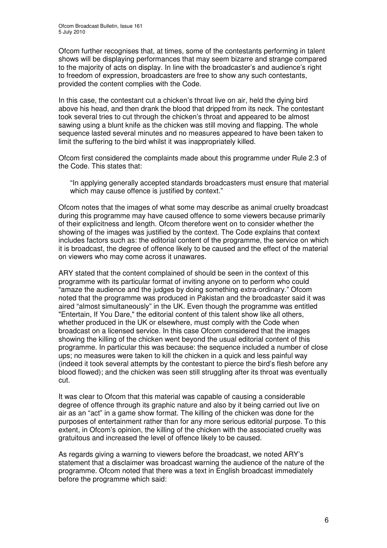Ofcom further recognises that, at times, some of the contestants performing in talent shows will be displaying performances that may seem bizarre and strange compared to the majority of acts on display. In line with the broadcaster's and audience's right to freedom of expression, broadcasters are free to show any such contestants, provided the content complies with the Code.

In this case, the contestant cut a chicken's throat live on air, held the dying bird above his head, and then drank the blood that dripped from its neck. The contestant took several tries to cut through the chicken's throat and appeared to be almost sawing using a blunt knife as the chicken was still moving and flapping. The whole sequence lasted several minutes and no measures appeared to have been taken to limit the suffering to the bird whilst it was inappropriately killed.

Ofcom first considered the complaints made about this programme under Rule 2.3 of the Code. This states that:

"In applying generally accepted standards broadcasters must ensure that material which may cause offence is justified by context."

Ofcom notes that the images of what some may describe as animal cruelty broadcast during this programme may have caused offence to some viewers because primarily of their explicitness and length. Ofcom therefore went on to consider whether the showing of the images was justified by the context. The Code explains that context includes factors such as: the editorial content of the programme, the service on which it is broadcast, the degree of offence likely to be caused and the effect of the material on viewers who may come across it unawares.

ARY stated that the content complained of should be seen in the context of this programme with its particular format of inviting anyone on to perform who could "amaze the audience and the judges by doing something extra-ordinary." Ofcom noted that the programme was produced in Pakistan and the broadcaster said it was aired "almost simultaneously" in the UK. Even though the programme was entitled "Entertain, If You Dare," the editorial content of this talent show like all others, whether produced in the UK or elsewhere, must comply with the Code when broadcast on a licensed service. In this case Ofcom considered that the images showing the killing of the chicken went beyond the usual editorial content of this programme. In particular this was because: the sequence included a number of close ups; no measures were taken to kill the chicken in a quick and less painful way (indeed it took several attempts by the contestant to pierce the bird's flesh before any blood flowed); and the chicken was seen still struggling after its throat was eventually cut.

It was clear to Ofcom that this material was capable of causing a considerable degree of offence through its graphic nature and also by it being carried out live on air as an "act" in a game show format. The killing of the chicken was done for the purposes of entertainment rather than for any more serious editorial purpose. To this extent, in Ofcom's opinion, the killing of the chicken with the associated cruelty was gratuitous and increased the level of offence likely to be caused.

As regards giving a warning to viewers before the broadcast, we noted ARY's statement that a disclaimer was broadcast warning the audience of the nature of the programme. Ofcom noted that there was a text in English broadcast immediately before the programme which said: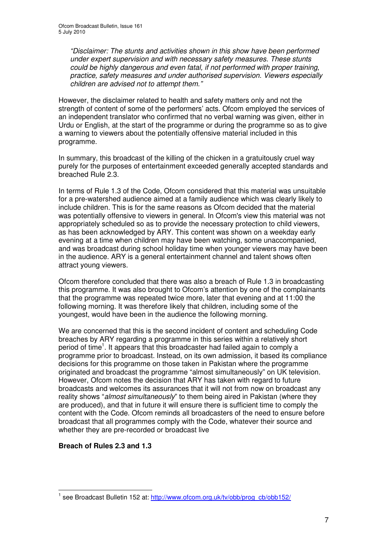*"Disclaimer: The stunts and activities shown in this show have been performed under expert supervision and with necessary safety measures. These stunts could be highly dangerous and even fatal, if not performed with proper training, practice, safety measures and under authorised supervision. Viewers especially children are advised not to attempt them."*

However, the disclaimer related to health and safety matters only and not the strength of content of some of the performers' acts. Ofcom employed the services of an independent translator who confirmed that no verbal warning was given, either in Urdu or English, at the start of the programme or during the programme so as to give a warning to viewers about the potentially offensive material included in this programme.

In summary, this broadcast of the killing of the chicken in a gratuitously cruel way purely for the purposes of entertainment exceeded generally accepted standards and breached Rule 2.3.

In terms of Rule 1.3 of the Code, Ofcom considered that this material was unsuitable for a pre-watershed audience aimed at a family audience which was clearly likely to include children. This is for the same reasons as Ofcom decided that the material was potentially offensive to viewers in general. In Ofcom's view this material was not appropriately scheduled so as to provide the necessary protection to child viewers, as has been acknowledged by ARY. This content was shown on a weekday early evening at a time when children may have been watching, some unaccompanied, and was broadcast during school holiday time when younger viewers may have been in the audience. ARY is a general entertainment channel and talent shows often attract young viewers.

Ofcom therefore concluded that there was also a breach of Rule 1.3 in broadcasting this programme. It was also brought to Ofcom's attention by one of the complainants that the programme was repeated twice more, later that evening and at 11:00 the following morning. It was therefore likely that children, including some of the youngest, would have been in the audience the following morning.

We are concerned that this is the second incident of content and scheduling Code breaches by ARY regarding a programme in this series within a relatively short period of time<sup>1</sup>. It appears that this broadcaster had failed again to comply a programme prior to broadcast. Instead, on its own admission, it based its compliance decisions for this programme on those taken in Pakistan where the programme originated and broadcast the programme "almost simultaneously" on UK television. However, Ofcom notes the decision that ARY has taken with regard to future broadcasts and welcomes its assurances that it will not from now on broadcast any reality shows "*almost simultaneously*" to them being aired in Pakistan (where they are produced), and that in future it will ensure there is sufficient time to comply the content with the Code. Ofcom reminds all broadcasters of the need to ensure before broadcast that all programmes comply with the Code, whatever their source and whether they are pre-recorded or broadcast live

## **Breach of Rules 2.3 and 1.3**

<sup>&</sup>lt;sup>1</sup> see Broadcast Bulletin 152 at: http://www.ofcom.org.uk/tv/obb/prog\_cb/obb152/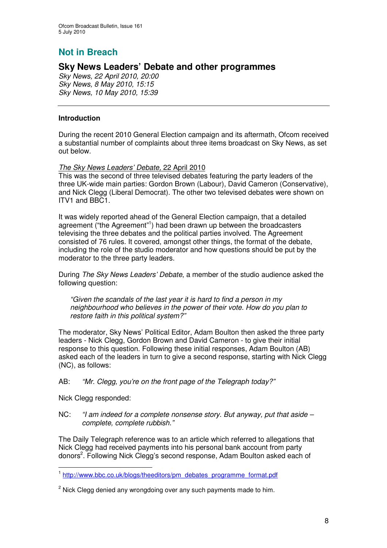## **Not in Breach**

## **Sky News Leaders' Debate and other programmes**

*Sky News, 22 April 2010, 20:00 Sky News, 8 May 2010, 15:15 Sky News, 10 May 2010, 15:39*

#### **Introduction**

During the recent 2010 General Election campaign and its aftermath, Ofcom received a substantial number of complaints about three items broadcast on Sky News, as set out below.

#### *The Sky News Leaders' Debate,* 22 April 2010

This was the second of three televised debates featuring the party leaders of the three UK-wide main parties: Gordon Brown (Labour), David Cameron (Conservative), and Nick Clegg (Liberal Democrat). The other two televised debates were shown on ITV1 and BBC1.

It was widely reported ahead of the General Election campaign, that a detailed agreement ("the Agreement" 1 ) had been drawn up between the broadcasters televising the three debates and the political parties involved. The Agreement consisted of 76 rules. It covered, amongst other things, the format of the debate, including the role of the studio moderator and how questions should be put by the moderator to the three party leaders.

During *The Sky News Leaders' Debate*, a member of the studio audience asked the following question:

*"Given the scandals of the last year it is hard to find a person in my neighbourhood who believes in the power of their vote. How do you plan to restore faith in this political system?"*

The moderator, Sky News' Political Editor, Adam Boulton then asked the three party leaders - Nick Clegg, Gordon Brown and David Cameron - to give their initial response to this question. Following these initial responses, Adam Boulton (AB) asked each of the leaders in turn to give a second response, starting with Nick Clegg (NC), as follows:

#### AB: *"Mr. Clegg, you're on the front page of the Telegraph today?"*

Nick Clegg responded:

NC: *"I am indeed for a complete nonsense story. But anyway, put that aside – complete, complete rubbish."*

The Daily Telegraph reference was to an article which referred to allegations that Nick Clegg had received payments into his personal bank account from party donors<sup>2</sup>. Following Nick Clegg's second response, Adam Boulton asked each of

<sup>&</sup>lt;sup>1</sup> http://www.bbc.co.uk/blogs/theeditors/pm\_debates\_programme\_format.pdf

 $2$  Nick Clegg denied any wrongdoing over any such payments made to him.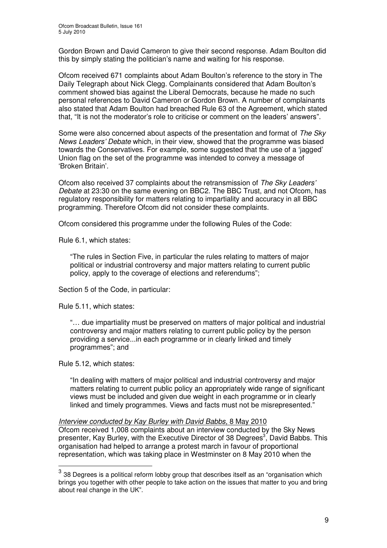Gordon Brown and David Cameron to give their second response. Adam Boulton did this by simply stating the politician's name and waiting for his response.

Ofcom received 671 complaints about Adam Boulton's reference to the story in The Daily Telegraph about Nick Clegg. Complainants considered that Adam Boulton's comment showed bias against the Liberal Democrats, because he made no such personal references to David Cameron or Gordon Brown. A number of complainants also stated that Adam Boulton had breached Rule 63 of the Agreement, which stated that, "It is not the moderator's role to criticise or comment on the leaders' answers".

Some were also concerned about aspects of the presentation and format of *The Sky News Leaders' Debate* which, in their view, showed that the programme was biased towards the Conservatives. For example, some suggested that the use of a 'jagged' Union flag on the set of the programme was intended to convey a message of 'Broken Britain'.

Ofcom also received 37 complaints about the retransmission of *The Sky Leaders' Debate* at 23:30 on the same evening on BBC2. The BBC Trust, and not Ofcom, has regulatory responsibility for matters relating to impartiality and accuracy in all BBC programming. Therefore Ofcom did not consider these complaints.

Ofcom considered this programme under the following Rules of the Code:

Rule 6.1, which states:

"The rules in Section Five, in particular the rules relating to matters of major political or industrial controversy and major matters relating to current public policy, apply to the coverage of elections and referendums";

Section 5 of the Code, in particular:

Rule 5.11, which states:

"… due impartiality must be preserved on matters of major political and industrial controversy and major matters relating to current public policy by the person providing a service...in each programme or in clearly linked and timely programmes"; and

Rule 5.12, which states:

"In dealing with matters of major political and industrial controversy and major matters relating to current public policy an appropriately wide range of significant views must be included and given due weight in each programme or in clearly linked and timely programmes. Views and facts must not be misrepresented."

#### *Interview conducted by Kay Burley with David Babbs,* 8 May 2010 Ofcom received 1,008 complaints about an interview conducted by the Sky News presenter, Kay Burley, with the Executive Director of 38 Degrees<sup>3</sup>, David Babbs. This organisation had helped to arrange a protest march in favour of proportional representation, which was taking place in Westminster on 8 May 2010 when the

 $^3$  38 Degrees is a political reform lobby group that describes itself as an "organisation which brings you together with other people to take action on the issues that matter to you and bring about real change in the UK".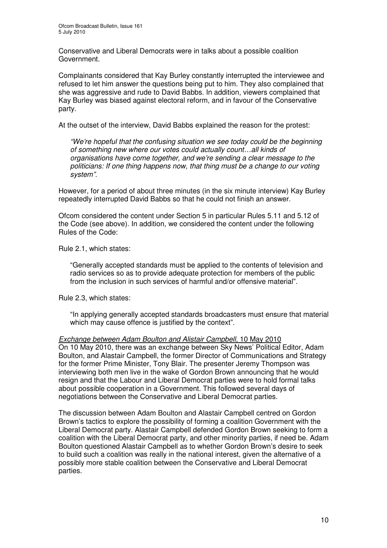Conservative and Liberal Democrats were in talks about a possible coalition Government.

Complainants considered that Kay Burley constantly interrupted the interviewee and refused to let him answer the questions being put to him. They also complained that she was aggressive and rude to David Babbs. In addition, viewers complained that Kay Burley was biased against electoral reform, and in favour of the Conservative party.

At the outset of the interview, David Babbs explained the reason for the protest:

*"We're hopeful that the confusing situation we see today could be the beginning of something new where our votes could actually count…all kinds of organisations have come together, and we're sending a clear message to the politicians: If one thing happens now, that thing must be a change to our voting system".*

However, for a period of about three minutes (in the six minute interview) Kay Burley repeatedly interrupted David Babbs so that he could not finish an answer.

Ofcom considered the content under Section 5 in particular Rules 5.11 and 5.12 of the Code (see above). In addition, we considered the content under the following Rules of the Code:

Rule 2.1, which states:

"Generally accepted standards must be applied to the contents of television and radio services so as to provide adequate protection for members of the public from the inclusion in such services of harmful and/or offensive material".

Rule 2.3, which states:

"In applying generally accepted standards broadcasters must ensure that material which may cause offence is justified by the context".

#### *Exchange between Adam Boulton and Alistair Campbell,* 10 May 2010

On 10 May 2010, there was an exchange between Sky News' Political Editor, Adam Boulton, and Alastair Campbell, the former Director of Communications and Strategy for the former Prime Minister, Tony Blair. The presenter Jeremy Thompson was interviewing both men live in the wake of Gordon Brown announcing that he would resign and that the Labour and Liberal Democrat parties were to hold formal talks about possible cooperation in a Government. This followed several days of negotiations between the Conservative and Liberal Democrat parties.

The discussion between Adam Boulton and Alastair Campbell centred on Gordon Brown's tactics to explore the possibility of forming a coalition Government with the Liberal Democrat party. Alastair Campbell defended Gordon Brown seeking to form a coalition with the Liberal Democrat party, and other minority parties, if need be. Adam Boulton questioned Alastair Campbell as to whether Gordon Brown's desire to seek to build such a coalition was really in the national interest, given the alternative of a possibly more stable coalition between the Conservative and Liberal Democrat parties.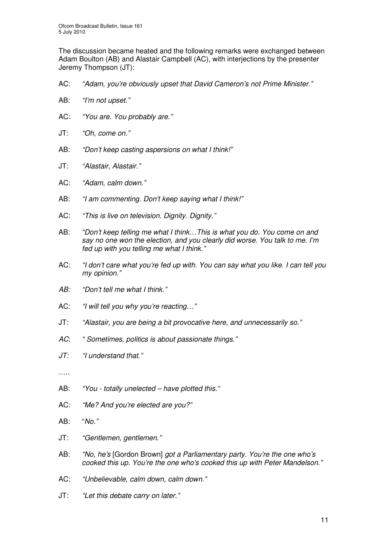The discussion became heated and the following remarks were exchanged between Adam Boulton (AB) and Alastair Campbell (AC), with interjections by the presenter Jeremy Thompson (JT):

- AC: *"Adam, you're obviously upset that David Cameron's not Prime Minister."*
- AB: *"I'm not upset."*
- AC: *"You are. You probably are."*
- JT: *"Oh, come on."*
- AB: *"Don't keep casting aspersions on what I think!"*
- JT: *"Alastair, Alastair."*
- AC: *"Adam, calm down."*
- AB: *"I am commenting. Don't keep saying what I think!"*
- AC: *"This is live on television. Dignity. Dignity."*
- AB: *"Don't keep telling me what I think…This is what you do. You come on and say no one won the election, and you clearly did worse. You talk to me. I'm fed up with you telling me what I think."*
- AC: *"I don't care what you're fed up with. You can say what you like. I can tell you my opinion."*
- *AB: "Don't tell me what I think."*
- AC: *"I will tell you why you're reacting…"*
- JT: *"Alastair, you are being a bit provocative here, and unnecessarily so."*
- *AC*: *" Sometimes, politics is about passionate things."*
- *JT: "I understand that."*
- ……
- AB: *"You - totally unelected – have plotted this."*
- AC: *"Me? And you're elected are you?"*
- AB: "*No."*
- JT: *"Gentlemen, gentlemen."*
- AB: *"No, he's* [Gordon Brown] *got a Parliamentary party. You're the one who's cooked this up. You're the one who's cooked this up with Peter Mandelson."*
- AC: *"Unbelievable, calm down, calm down."*
- JT: *"Let this debate carry on later."*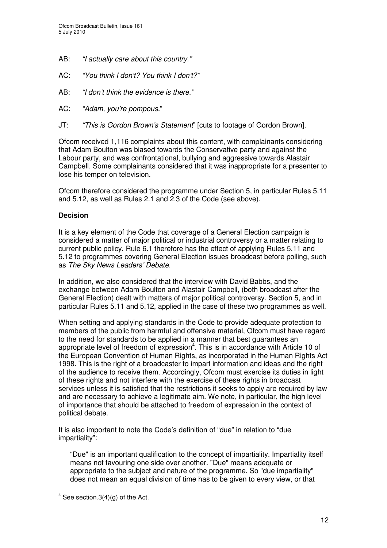- AB: *"I actually care about this country."*
- AC: *"You think I don't? You think I don't?"*
- AB: *"I don't think the evidence is there."*
- AC: *"Adam, you're pompous.*"
- JT: *"This is Gordon Brown's Statement*" [cuts to footage of Gordon Brown].

Ofcom received 1,116 complaints about this content, with complainants considering that Adam Boulton was biased towards the Conservative party and against the Labour party, and was confrontational, bullying and aggressive towards Alastair Campbell. Some complainants considered that it was inappropriate for a presenter to lose his temper on television.

Ofcom therefore considered the programme under Section 5, in particular Rules 5.11 and 5.12, as well as Rules 2.1 and 2.3 of the Code (see above).

#### **Decision**

It is a key element of the Code that coverage of a General Election campaign is considered a matter of major political or industrial controversy or a matter relating to current public policy. Rule 6.1 therefore has the effect of applying Rules 5.11 and 5.12 to programmes covering General Election issues broadcast before polling, such as *The Sky News Leaders' Debate.*

In addition, we also considered that the interview with David Babbs, and the exchange between Adam Boulton and Alastair Campbell, (both broadcast after the General Election) dealt with matters of major political controversy. Section 5, and in particular Rules 5.11 and 5.12, applied in the case of these two programmes as well.

When setting and applying standards in the Code to provide adequate protection to members of the public from harmful and offensive material, Ofcom must have regard to the need for standards to be applied in a manner that best guarantees an appropriate level of freedom of expression<sup>4</sup>. This is in accordance with Article 10 of the European Convention of Human Rights, as incorporated in the Human Rights Act 1998. This is the right of a broadcaster to impart information and ideas and the right of the audience to receive them. Accordingly, Ofcom must exercise its duties in light of these rights and not interfere with the exercise of these rights in broadcast services unless it is satisfied that the restrictions it seeks to apply are required by law and are necessary to achieve a legitimate aim. We note, in particular, the high level of importance that should be attached to freedom of expression in the context of political debate.

It is also important to note the Code's definition of "due" in relation to "due impartiality":

"Due" is an important qualification to the concept of impartiality. Impartiality itself means not favouring one side over another. "Due" means adequate or appropriate to the subject and nature of the programme. So "due impartiality" does not mean an equal division of time has to be given to every view, or that

 $4$  See section.3(4)(g) of the Act.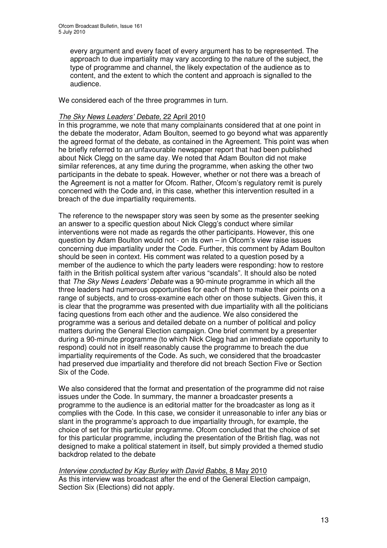every argument and every facet of every argument has to be represented. The approach to due impartiality may vary according to the nature of the subject, the type of programme and channel, the likely expectation of the audience as to content, and the extent to which the content and approach is signalled to the audience.

We considered each of the three programmes in turn.

#### *The Sky News Leaders' Debate,* 22 April 2010

In this programme, we note that many complainants considered that at one point in the debate the moderator, Adam Boulton, seemed to go beyond what was apparently the agreed format of the debate, as contained in the Agreement. This point was when he briefly referred to an unfavourable newspaper report that had been published about Nick Clegg on the same day. We noted that Adam Boulton did not make similar references, at any time during the programme, when asking the other two participants in the debate to speak. However, whether or not there was a breach of the Agreement is not a matter for Ofcom. Rather, Ofcom's regulatory remit is purely concerned with the Code and, in this case, whether this intervention resulted in a breach of the due impartiality requirements.

The reference to the newspaper story was seen by some as the presenter seeking an answer to a specific question about Nick Clegg's conduct where similar interventions were not made as regards the other participants. However, this one question by Adam Boulton would not - on its own – in Ofcom's view raise issues concerning due impartiality under the Code. Further, this comment by Adam Boulton should be seen in context. His comment was related to a question posed by a member of the audience to which the party leaders were responding: how to restore faith in the British political system after various "scandals". It should also be noted that *The Sky News Leaders' Debate* was a 90-minute programme in which all the three leaders had numerous opportunities for each of them to make their points on a range of subjects, and to cross-examine each other on those subjects. Given this, it is clear that the programme was presented with due impartiality with all the politicians facing questions from each other and the audience. We also considered the programme was a serious and detailed debate on a number of political and policy matters during the General Election campaign. One brief comment by a presenter during a 90-minute programme (to which Nick Clegg had an immediate opportunity to respond) could not in itself reasonably cause the programme to breach the due impartiality requirements of the Code. As such, we considered that the broadcaster had preserved due impartiality and therefore did not breach Section Five or Section Six of the Code.

We also considered that the format and presentation of the programme did not raise issues under the Code. In summary, the manner a broadcaster presents a programme to the audience is an editorial matter for the broadcaster as long as it complies with the Code. In this case, we consider it unreasonable to infer any bias or slant in the programme's approach to due impartiality through, for example, the choice of set for this particular programme. Ofcom concluded that the choice of set for this particular programme, including the presentation of the British flag, was not designed to make a political statement in itself, but simply provided a themed studio backdrop related to the debate

*Interview conducted by Kay Burley with David Babbs*, 8 May 2010 As this interview was broadcast after the end of the General Election campaign, Section Six (Elections) did not apply.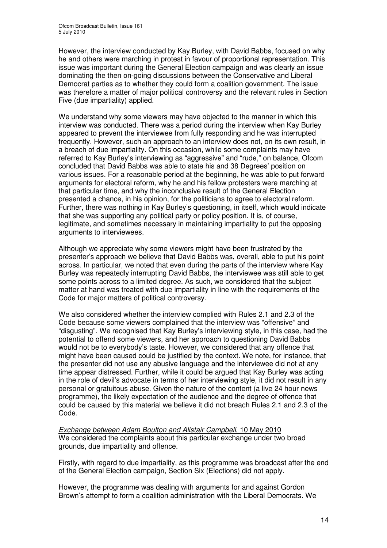However, the interview conducted by Kay Burley, with David Babbs, focused on why he and others were marching in protest in favour of proportional representation. This issue was important during the General Election campaign and was clearly an issue dominating the then on-going discussions between the Conservative and Liberal Democrat parties as to whether they could form a coalition government. The issue was therefore a matter of major political controversy and the relevant rules in Section Five (due impartiality) applied.

We understand why some viewers may have objected to the manner in which this interview was conducted. There was a period during the interview when Kay Burley appeared to prevent the interviewee from fully responding and he was interrupted frequently. However, such an approach to an interview does not, on its own result, in a breach of due impartiality. On this occasion, while some complaints may have referred to Kay Burley's interviewing as "aggressive" and "rude," on balance, Ofcom concluded that David Babbs was able to state his and 38 Degrees' position on various issues. For a reasonable period at the beginning, he was able to put forward arguments for electoral reform, why he and his fellow protesters were marching at that particular time, and why the inconclusive result of the General Election presented a chance, in his opinion, for the politicians to agree to electoral reform. Further, there was nothing in Kay Burley's questioning, in itself, which would indicate that she was supporting any political party or policy position. It is, of course, legitimate, and sometimes necessary in maintaining impartiality to put the opposing arguments to interviewees.

Although we appreciate why some viewers might have been frustrated by the presenter's approach we believe that David Babbs was, overall, able to put his point across. In particular, we noted that even during the parts of the interview where Kay Burley was repeatedly interrupting David Babbs, the interviewee was still able to get some points across to a limited degree. As such, we considered that the subject matter at hand was treated with due impartiality in line with the requirements of the Code for major matters of political controversy.

We also considered whether the interview complied with Rules 2.1 and 2.3 of the Code because some viewers complained that the interview was "offensive" and "disgusting". We recognised that Kay Burley's interviewing style, in this case, had the potential to offend some viewers, and her approach to questioning David Babbs would not be to everybody's taste. However, we considered that any offence that might have been caused could be justified by the context. We note, for instance, that the presenter did not use any abusive language and the interviewee did not at any time appear distressed. Further, while it could be argued that Kay Burley was acting in the role of devil's advocate in terms of her interviewing style, it did not result in any personal or gratuitous abuse. Given the nature of the content (a live 24 hour news programme), the likely expectation of the audience and the degree of offence that could be caused by this material we believe it did not breach Rules 2.1 and 2.3 of the Code.

*Exchange between Adam Boulton and Alistair Campbell*, 10 May 2010 We considered the complaints about this particular exchange under two broad grounds, due impartiality and offence.

Firstly, with regard to due impartiality, as this programme was broadcast after the end of the General Election campaign, Section Six (Elections) did not apply.

However, the programme was dealing with arguments for and against Gordon Brown's attempt to form a coalition administration with the Liberal Democrats. We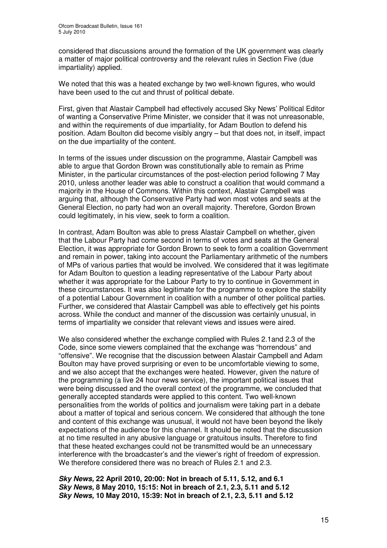considered that discussions around the formation of the UK government was clearly a matter of major political controversy and the relevant rules in Section Five (due impartiality) applied.

We noted that this was a heated exchange by two well-known figures, who would have been used to the cut and thrust of political debate.

First, given that Alastair Campbell had effectively accused Sky News' Political Editor of wanting a Conservative Prime Minister, we consider that it was not unreasonable, and within the requirements of due impartiality, for Adam Boutlon to defend his position. Adam Boulton did become visibly angry – but that does not, in itself, impact on the due impartiality of the content.

In terms of the issues under discussion on the programme, Alastair Campbell was able to argue that Gordon Brown was constitutionally able to remain as Prime Minister, in the particular circumstances of the post-election period following 7 May 2010, unless another leader was able to construct a coalition that would command a majority in the House of Commons. Within this context, Alastair Campbell was arguing that, although the Conservative Party had won most votes and seats at the General Election, no party had won an overall majority. Therefore, Gordon Brown could legitimately, in his view, seek to form a coalition.

In contrast, Adam Boulton was able to press Alastair Campbell on whether, given that the Labour Party had come second in terms of votes and seats at the General Election, it was appropriate for Gordon Brown to seek to form a coalition Government and remain in power, taking into account the Parliamentary arithmetic of the numbers of MPs of various parties that would be involved. We considered that it was legitimate for Adam Boulton to question a leading representative of the Labour Party about whether it was appropriate for the Labour Party to try to continue in Government in these circumstances. It was also legitimate for the programme to explore the stability of a potential Labour Government in coalition with a number of other political parties. Further, we considered that Alastair Campbell was able to effectively get his points across. While the conduct and manner of the discussion was certainly unusual, in terms of impartiality we consider that relevant views and issues were aired.

We also considered whether the exchange complied with Rules 2.1and 2.3 of the Code, since some viewers complained that the exchange was "horrendous" and "offensive". We recognise that the discussion between Alastair Campbell and Adam Boulton may have proved surprising or even to be uncomfortable viewing to some, and we also accept that the exchanges were heated. However, given the nature of the programming (a live 24 hour news service), the important political issues that were being discussed and the overall context of the programme, we concluded that generally accepted standards were applied to this content. Two well-known personalities from the worlds of politics and journalism were taking part in a debate about a matter of topical and serious concern. We considered that although the tone and content of this exchange was unusual, it would not have been beyond the likely expectations of the audience for this channel. It should be noted that the discussion at no time resulted in any abusive language or gratuitous insults. Therefore to find that these heated exchanges could not be transmitted would be an unnecessary interference with the broadcaster's and the viewer's right of freedom of expression. We therefore considered there was no breach of Rules 2.1 and 2.3.

*Sky News,* **22 April 2010, 20:00: Not in breach of 5.11, 5.12, and 6.1** *Sky News,* **8 May 2010, 15:15: Not in breach of 2.1, 2.3, 5.11 and 5.12** *Sky News,* **10 May 2010, 15:39: Not in breach of 2.1, 2.3, 5.11 and 5.12**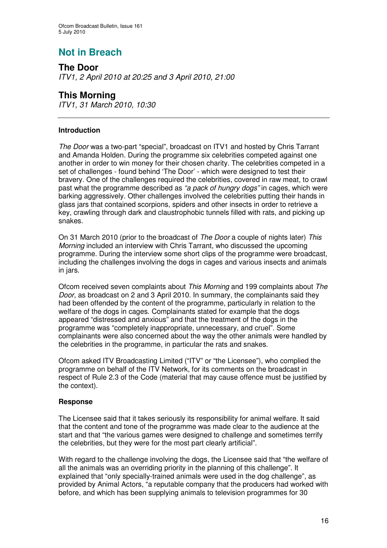# **Not in Breach**

**The Door** *ITV1, 2 April 2010 at 20:25 and 3 April 2010, 21:00*

## **This Morning**

*ITV1, 31 March 2010, 10:30*

## **Introduction**

*The Door* was a two-part "special", broadcast on ITV1 and hosted by Chris Tarrant and Amanda Holden. During the programme six celebrities competed against one another in order to win money for their chosen charity. The celebrities competed in a set of challenges - found behind 'The Door' - which were designed to test their bravery. One of the challenges required the celebrities, covered in raw meat, to crawl past what the programme described as *"a pack of hungry dogs"* in cages, which were barking aggressively. Other challenges involved the celebrities putting their hands in glass jars that contained scorpions, spiders and other insects in order to retrieve a key, crawling through dark and claustrophobic tunnels filled with rats, and picking up snakes.

On 31 March 2010 (prior to the broadcast of *The Door* a couple of nights later) *This Morning* included an interview with Chris Tarrant, who discussed the upcoming programme. During the interview some short clips of the programme were broadcast, including the challenges involving the dogs in cages and various insects and animals in jars.

Ofcom received seven complaints about *This Morning* and 199 complaints about *The Door*, as broadcast on 2 and 3 April 2010. In summary, the complainants said they had been offended by the content of the programme, particularly in relation to the welfare of the dogs in cages. Complainants stated for example that the dogs appeared "distressed and anxious" and that the treatment of the dogs in the programme was "completely inappropriate, unnecessary, and cruel". Some complainants were also concerned about the way the other animals were handled by the celebrities in the programme, in particular the rats and snakes.

Ofcom asked ITV Broadcasting Limited ("ITV" or "the Licensee"), who complied the programme on behalf of the ITV Network, for its comments on the broadcast in respect of Rule 2.3 of the Code (material that may cause offence must be justified by the context).

## **Response**

The Licensee said that it takes seriously its responsibility for animal welfare. It said that the content and tone of the programme was made clear to the audience at the start and that "the various games were designed to challenge and sometimes terrify the celebrities, but they were for the most part clearly artificial".

With regard to the challenge involving the dogs, the Licensee said that "the welfare of all the animals was an overriding priority in the planning of this challenge". It explained that "only specially-trained animals were used in the dog challenge", as provided by Animal Actors, "a reputable company that the producers had worked with before, and which has been supplying animals to television programmes for 30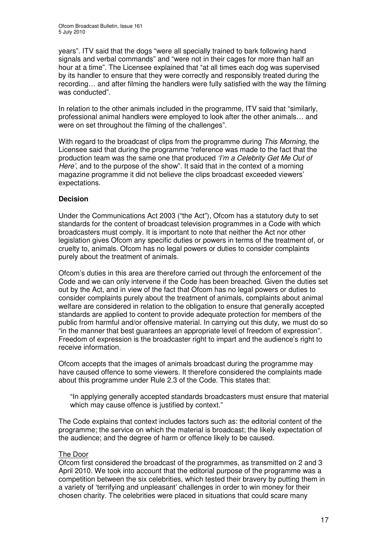years". ITV said that the dogs "were all specially trained to bark following hand signals and verbal commands" and "were not in their cages for more than half an hour at a time". The Licensee explained that "at all times each dog was supervised by its handler to ensure that they were correctly and responsibly treated during the recording… and after filming the handlers were fully satisfied with the way the filming was conducted".

In relation to the other animals included in the programme, ITV said that "similarly, professional animal handlers were employed to look after the other animals… and were on set throughout the filming of the challenges".

With regard to the broadcast of clips from the programme during *This Morning*, the Licensee said that during the programme "reference was made to the fact that the production team was the same one that produced *'I'm a Celebrity Get Me Out of Here'*, and to the purpose of the show". It said that in the context of a morning magazine programme it did not believe the clips broadcast exceeded viewers' expectations.

#### **Decision**

Under the Communications Act 2003 ("the Act"), Ofcom has a statutory duty to set standards for the content of broadcast television programmes in a Code with which broadcasters must comply. It is important to note that neither the Act nor other legislation gives Ofcom any specific duties or powers in terms of the treatment of, or cruelty to, animals. Ofcom has no legal powers or duties to consider complaints purely about the treatment of animals.

Ofcom's duties in this area are therefore carried out through the enforcement of the Code and we can only intervene if the Code has been breached. Given the duties set out by the Act, and in view of the fact that Ofcom has no legal powers or duties to consider complaints purely about the treatment of animals, complaints about animal welfare are considered in relation to the obligation to ensure that generally accepted standards are applied to content to provide adequate protection for members of the public from harmful and/or offensive material. In carrying out this duty, we must do so "in the manner that best guarantees an appropriate level of freedom of expression". Freedom of expression is the broadcaster right to impart and the audience's right to receive information.

Ofcom accepts that the images of animals broadcast during the programme may have caused offence to some viewers. It therefore considered the complaints made about this programme under Rule 2.3 of the Code. This states that:

"In applying generally accepted standards broadcasters must ensure that material which may cause offence is justified by context."

The Code explains that context includes factors such as: the editorial content of the programme; the service on which the material is broadcast; the likely expectation of the audience; and the degree of harm or offence likely to be caused.

#### The Door

Ofcom first considered the broadcast of the programmes, as transmitted on 2 and 3 April 2010. We took into account that the editorial purpose of the programme was a competition between the six celebrities, which tested their bravery by putting them in a variety of 'terrifying and unpleasant' challenges in order to win money for their chosen charity. The celebrities were placed in situations that could scare many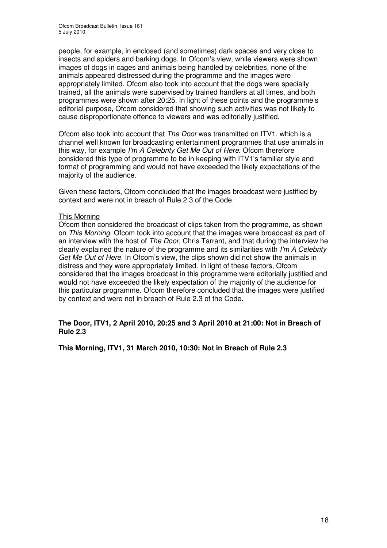people, for example, in enclosed (and sometimes) dark spaces and very close to insects and spiders and barking dogs. In Ofcom's view, while viewers were shown images of dogs in cages and animals being handled by celebrities, none of the animals appeared distressed during the programme and the images were appropriately limited. Ofcom also took into account that the dogs were specially trained, all the animals were supervised by trained handlers at all times, and both programmes were shown after 20:25. In light of these points and the programme's editorial purpose, Ofcom considered that showing such activities was not likely to cause disproportionate offence to viewers and was editorially justified.

Ofcom also took into account that *The Door* was transmitted on ITV1, which is a channel well known for broadcasting entertainment programmes that use animals in this way, for example *I'm A Celebrity Get Me Out of Here*. Ofcom therefore considered this type of programme to be in keeping with ITV1's familiar style and format of programming and would not have exceeded the likely expectations of the majority of the audience.

Given these factors, Ofcom concluded that the images broadcast were justified by context and were not in breach of Rule 2.3 of the Code.

#### This Morning

Ofcom then considered the broadcast of clips taken from the programme, as shown on *This Morning.* Ofcom took into account that the images were broadcast as part of an interview with the host of *The Door*, Chris Tarrant, and that during the interview he clearly explained the nature of the programme and its similarities with *I'm A Celebrity Get Me Out of Here*. In Ofcom's view, the clips shown did not show the animals in distress and they were appropriately limited. In light of these factors, Ofcom considered that the images broadcast in this programme were editorially justified and would not have exceeded the likely expectation of the majority of the audience for this particular programme. Ofcom therefore concluded that the images were justified by context and were not in breach of Rule 2.3 of the Code.

#### **The Door, ITV1, 2 April 2010, 20:25 and 3 April 2010 at 21:00: Not in Breach of Rule 2.3**

**This Morning, ITV1, 31 March 2010, 10:30: Not in Breach of Rule 2.3**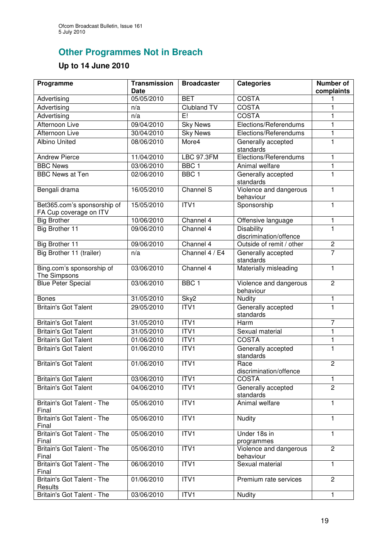# **Other Programmes Not in Breach**

## **Up to 14 June 2010**

| Programme                                             | <b>Transmission</b><br><b>Date</b> | <b>Broadcaster</b> | <b>Categories</b>                           | <b>Number of</b><br>complaints |
|-------------------------------------------------------|------------------------------------|--------------------|---------------------------------------------|--------------------------------|
| Advertising                                           | 05/05/2010                         | <b>BET</b>         | COSTA                                       |                                |
| Advertising                                           | n/a                                | <b>Clubland TV</b> | <b>COSTA</b>                                | 1                              |
| Advertising                                           | n/a                                | E!                 | <b>COSTA</b>                                | 1                              |
| <b>Afternoon Live</b>                                 | 09/04/2010                         | <b>Sky News</b>    | Elections/Referendums                       | 1                              |
| Afternoon Live                                        | 30/04/2010                         | <b>Sky News</b>    | Elections/Referendums                       | 1                              |
| <b>Albino United</b>                                  | 08/06/2010                         | More4              | Generally accepted                          | $\mathbf{1}$                   |
|                                                       |                                    |                    | standards                                   |                                |
| <b>Andrew Pierce</b>                                  | 11/04/2010                         | <b>LBC 97.3FM</b>  | Elections/Referendums                       | $\mathbf{1}$                   |
| <b>BBC News</b>                                       | 03/06/2010                         | BBC <sub>1</sub>   | Animal welfare                              | 1                              |
| <b>BBC News at Ten</b>                                | 02/06/2010                         | BBC <sub>1</sub>   | Generally accepted<br>standards             | 1                              |
| Bengali drama                                         | 16/05/2010                         | Channel S          | Violence and dangerous<br>behaviour         | $\mathbf{1}$                   |
| Bet365.com's sponsorship of<br>FA Cup coverage on ITV | 15/05/2010                         | ITV1               | Sponsorship                                 | $\mathbf{1}$                   |
| <b>Big Brother</b>                                    | 10/06/2010                         | Channel 4          | Offensive language                          | 1                              |
| <b>Big Brother 11</b>                                 | 09/06/2010                         | Channel 4          | <b>Disability</b><br>discrimination/offence | 1                              |
| <b>Big Brother 11</b>                                 | 09/06/2010                         | Channel 4          | Outside of remit / other                    | $\overline{c}$                 |
| Big Brother 11 (trailer)                              | n/a                                | Channel 4 / E4     | Generally accepted<br>standards             | $\overline{7}$                 |
| Bing.com's sponsorship of<br>The Simpsons             | 03/06/2010                         | Channel 4          | Materially misleading                       | 1                              |
| <b>Blue Peter Special</b>                             | 03/06/2010                         | BBC <sub>1</sub>   | Violence and dangerous<br>behaviour         | $\overline{2}$                 |
| <b>Bones</b>                                          | 31/05/2010                         | Sky2               | Nudity                                      | 1                              |
| <b>Britain's Got Talent</b>                           | 29/05/2010                         | ITVI               | Generally accepted<br>standards             | 1                              |
| <b>Britain's Got Talent</b>                           | 31/05/2010                         | ITV1               | Harm                                        | $\overline{7}$                 |
| <b>Britain's Got Talent</b>                           | 31/05/2010                         | ITVI               | Sexual material                             | 1                              |
| <b>Britain's Got Talent</b>                           | 01/06/2010                         | ITV1               | COSTA                                       | 1                              |
| <b>Britain's Got Talent</b>                           | 01/06/2010                         | ITV1               | Generally accepted<br>standards             | $\mathbf{1}$                   |
| <b>Britain's Got Talent</b>                           | 01/06/2010                         | ITVI               | Race<br>discrimination/offence              | $\overline{2}$                 |
| <b>Britain's Got Talent</b>                           | 03/06/2010                         | ITV1               | <b>COSTA</b>                                | 1                              |
| <b>Britain's Got Talent</b>                           | 04/06/2010                         | ITV1               | Generally accepted<br>standards             | $\overline{2}$                 |
| Britain's Got Talent - The<br>Final                   | 05/06/2010                         | ITV1               | Animal welfare                              | $\mathbf{1}$                   |
| Britain's Got Talent - The<br>Final                   | 05/06/2010                         | ITV1               | Nudity                                      | 1                              |
| Britain's Got Talent - The<br>Final                   | 05/06/2010                         | ITV1               | Under 18s in<br>programmes                  | $\mathbf{1}$                   |
| Britain's Got Talent - The<br>Final                   | 05/06/2010                         | ITVI               | Violence and dangerous<br>behaviour         | $\overline{2}$                 |
| Britain's Got Talent - The<br>Final                   | 06/06/2010                         | ITVI               | Sexual material                             | $\mathbf{1}$                   |
| Britain's Got Talent - The<br>Results                 | 01/06/2010                         | ITV1               | Premium rate services                       | $\overline{2}$                 |
| Britain's Got Talent - The                            | 03/06/2010                         | ITVI               | Nudity                                      | $\mathbf{1}$                   |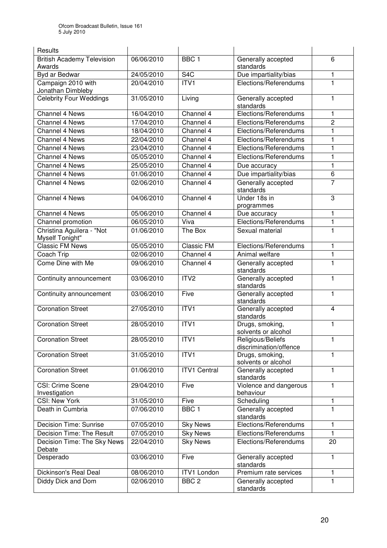| Results                                          |            |                     |                                        |              |
|--------------------------------------------------|------------|---------------------|----------------------------------------|--------------|
| <b>British Academy Television</b>                | 06/06/2010 | BBC <sub>1</sub>    | Generally accepted                     | 6            |
| Awards<br>Byd ar Bedwar                          | 24/05/2010 | S <sub>4</sub> C    | standards<br>Due impartiality/bias     | 1            |
| Campaign 2010 with                               | 20/04/2010 | ITVI                | Elections/Referendums                  | 1            |
| Jonathan Dimbleby                                |            |                     |                                        |              |
| <b>Celebrity Four Weddings</b>                   | 31/05/2010 | Living              | Generally accepted<br>standards        | 1            |
| <b>Channel 4 News</b>                            | 16/04/2010 | Channel 4           | Elections/Referendums                  | 1            |
| Channel 4 News                                   | 17/04/2010 | Channel 4           | Elections/Referendums                  | 2            |
| Channel 4 News                                   | 18/04/2010 | Channel 4           | Elections/Referendums                  | 1            |
| Channel 4 News                                   | 22/04/2010 | Channel 4           | Elections/Referendums                  | 1            |
| Channel 4 News                                   | 23/04/2010 | Channel 4           | Elections/Referendums                  | 1            |
| <b>Channel 4 News</b>                            | 05/05/2010 | Channel 4           | Elections/Referendums                  | 1            |
| Channel 4 News                                   | 25/05/2010 | Channel 4           | Due accuracy                           | $\mathbf{1}$ |
| Channel 4 News                                   | 01/06/2010 | Channel 4           | Due impartiality/bias                  | 6            |
| <b>Channel 4 News</b>                            | 02/06/2010 | Channel 4           | Generally accepted<br>standards        | 7            |
| <b>Channel 4 News</b>                            | 04/06/2010 | Channel 4           | Under 18s in<br>programmes             | 3            |
| Channel 4 News                                   | 05/06/2010 | Channel 4           | Due accuracy                           | 1            |
| Channel promotion                                | 06/05/2010 | Viva                | Elections/Referendums                  | 1            |
| Christina Aguilera - "Not                        | 01/06/2010 | The Box             | Sexual material                        | 1            |
| <b>Myself Tonight"</b><br><b>Classic FM News</b> | 05/05/2010 | Classic FM          | Elections/Referendums                  |              |
|                                                  |            | Channel 4           |                                        | 1            |
| Coach Trip                                       | 02/06/2010 |                     | Animal welfare                         | 1            |
| Come Dine with Me                                | 09/06/2010 | Channel 4           | Generally accepted<br>standards        | 1            |
| Continuity announcement                          | 03/06/2010 | ITV2                | Generally accepted<br>standards        | 1            |
| Continuity announcement                          | 03/06/2010 | Five                | Generally accepted<br>standards        | 1            |
| <b>Coronation Street</b>                         | 27/05/2010 | ITV1                | Generally accepted<br>standards        | 4            |
| <b>Coronation Street</b>                         | 28/05/2010 | ITV1                | Drugs, smoking,<br>solvents or alcohol | 1            |
| <b>Coronation Street</b>                         | 28/05/2010 | ITVI                | Religious/Beliefs                      |              |
|                                                  |            |                     | discrimination/offence                 |              |
| <b>Coronation Street</b>                         | 31/05/2010 | ITV1                | Drugs, smoking,<br>solvents or alcohol | 1            |
| <b>Coronation Street</b>                         | 01/06/2010 | <b>ITV1 Central</b> | Generally accepted<br>standards        | 1            |
| CSI: Crime Scene<br>Investigation                | 29/04/2010 | Five                | Violence and dangerous<br>behaviour    | 1            |
| <b>CSI: New York</b>                             | 31/05/2010 | Five                | Scheduling                             | $\mathbf{1}$ |
| Death in Cumbria                                 | 07/06/2010 | BBC <sub>1</sub>    | Generally accepted<br>standards        | 1            |
| Decision Time: Sunrise                           | 07/05/2010 | <b>Sky News</b>     | Elections/Referendums                  | 1            |
| Decision Time: The Result                        | 07/05/2010 | <b>Sky News</b>     | Elections/Referendums                  | 1            |
| Decision Time: The Sky News<br>Debate            | 22/04/2010 | <b>Sky News</b>     | Elections/Referendums                  | 20           |
| Desperado                                        | 03/06/2010 | Five                | Generally accepted<br>standards        | 1            |
| Dickinson's Real Deal                            | 08/06/2010 | <b>ITV1 London</b>  | Premium rate services                  | 1            |
| Diddy Dick and Dom                               | 02/06/2010 | BBC <sub>2</sub>    | Generally accepted<br>standards        | 1            |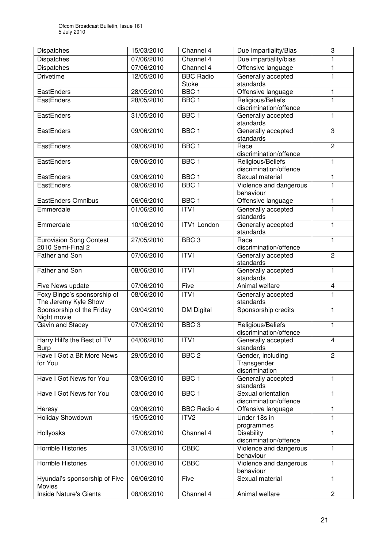| <b>Dispatches</b>               | 15/03/2010 | Channel 4                        | Due Impartiality/Bias                        | 3                        |
|---------------------------------|------------|----------------------------------|----------------------------------------------|--------------------------|
| Dispatches                      | 07/06/2010 | Channel 4                        | Due impartiality/bias                        | 1                        |
| Dispatches                      | 07/06/2010 | Channel 4                        | Offensive language                           | 1                        |
| <b>Drivetime</b>                | 12/05/2010 | <b>BBC Radio</b>                 | Generally accepted                           | 1                        |
| EastEnders                      | 28/05/2010 | <b>Stoke</b><br>BBC <sub>1</sub> | standards<br>Offensive language              | 1                        |
| EastEnders                      | 28/05/2010 | BBC <sub>1</sub>                 | Religious/Beliefs                            | 1                        |
|                                 |            |                                  | discrimination/offence                       |                          |
| EastEnders                      | 31/05/2010 | BBC <sub>1</sub>                 | Generally accepted                           | 1                        |
|                                 |            |                                  | standards                                    |                          |
| EastEnders                      | 09/06/2010 | BBC <sub>1</sub>                 | Generally accepted<br>standards              | $\overline{3}$           |
| EastEnders                      | 09/06/2010 | BBC <sub>1</sub>                 | Race                                         | $\overline{2}$           |
|                                 |            |                                  | discrimination/offence                       |                          |
| EastEnders                      | 09/06/2010 | BBC <sub>1</sub>                 | Religious/Beliefs                            | 1                        |
|                                 |            |                                  | discrimination/offence                       |                          |
| EastEnders                      | 09/06/2010 | BBC <sub>1</sub>                 | Sexual material                              | 1                        |
| EastEnders                      | 09/06/2010 | BBC <sub>1</sub>                 | Violence and dangerous                       | 1                        |
|                                 |            |                                  | behaviour                                    |                          |
| <b>EastEnders Omnibus</b>       | 06/06/2010 | BBC <sub>1</sub>                 | Offensive language                           | 1                        |
| Emmerdale                       | 01/06/2010 | ITVI                             | Generally accepted                           | 1                        |
|                                 |            |                                  | standards                                    |                          |
| Emmerdale                       | 10/06/2010 | <b>ITV1 London</b>               | Generally accepted<br>standards              | 1                        |
| <b>Eurovision Song Contest</b>  | 27/05/2010 | BBC <sub>3</sub>                 | Race                                         | 1                        |
| 2010 Semi-Final 2               |            |                                  | discrimination/offence                       |                          |
| Father and Son                  | 07/06/2010 | ITVI                             | Generally accepted                           | $\overline{2}$           |
|                                 |            |                                  | standards                                    |                          |
| Father and Son                  | 08/06/2010 | ITVI                             | Generally accepted                           | 1                        |
|                                 |            |                                  | standards                                    |                          |
| Five News update                | 07/06/2010 | Five                             | Animal welfare                               | $\overline{\mathcal{A}}$ |
| Foxy Bingo's sponsorship of     | 08/06/2010 | ITVI                             | Generally accepted                           | 1                        |
| The Jeremy Kyle Show            |            |                                  | standards                                    |                          |
| Sponsorship of the Friday       | 09/04/2010 | <b>DM Digital</b>                | Sponsorship credits                          | $\mathbf{1}$             |
| Night movie<br>Gavin and Stacey | 07/06/2010 | BBC <sub>3</sub>                 | Religious/Beliefs                            |                          |
|                                 |            |                                  | discrimination/offence                       | 1                        |
| Harry Hill's the Best of TV     | 04/06/2010 | ITV1                             | Generally accepted                           | 4                        |
| <b>Burp</b>                     |            |                                  | standards                                    |                          |
| Have I Got a Bit More News      | 29/05/2010 | BBC <sub>2</sub>                 | Gender, including                            | 2                        |
| for You                         |            |                                  | Transgender                                  |                          |
|                                 |            |                                  | discrimination                               |                          |
| Have I Got News for You         | 03/06/2010 | BBC <sub>1</sub>                 | Generally accepted                           | 1                        |
|                                 |            |                                  | standards                                    |                          |
| Have I Got News for You         | 03/06/2010 | BBC <sub>1</sub>                 | Sexual orientation<br>discrimination/offence | 1                        |
| Heresy                          | 09/06/2010 | <b>BBC Radio 4</b>               | Offensive language                           | 1                        |
| Holiday Showdown                | 15/05/2010 | ITV <sub>2</sub>                 | Under 18s in                                 | 1                        |
|                                 |            |                                  | programmes                                   |                          |
| Hollyoaks                       | 07/06/2010 | Channel 4                        | <b>Disability</b>                            | 1                        |
|                                 |            |                                  | discrimination/offence                       |                          |
| <b>Horrible Histories</b>       | 31/05/2010 | <b>CBBC</b>                      | Violence and dangerous                       | $\mathbf{1}$             |
|                                 |            |                                  | behaviour                                    |                          |
| Horrible Histories              | 01/06/2010 | <b>CBBC</b>                      | Violence and dangerous                       | 1                        |
|                                 |            |                                  | behaviour                                    |                          |
| Hyundai's sponsorship of Five   | 06/06/2010 | Five                             | Sexual material                              | 1                        |
| Movies                          |            |                                  |                                              |                          |
| Inside Nature's Giants          | 08/06/2010 | Channel 4                        | Animal welfare                               | $\overline{2}$           |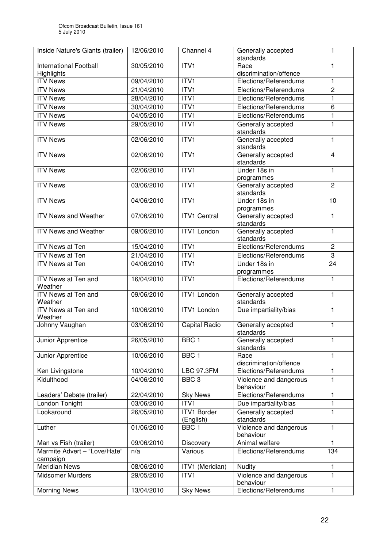| Inside Nature's Giants (trailer)         | 12/06/2010 | Channel 4                       | Generally accepted<br>standards     | 1                       |
|------------------------------------------|------------|---------------------------------|-------------------------------------|-------------------------|
| <b>International Football</b>            | 30/05/2010 | ITVI                            | Race                                | 1                       |
| Highlights                               |            |                                 | discrimination/offence              |                         |
| <b>ITV News</b>                          | 09/04/2010 | ITVI                            | Elections/Referendums               | 1                       |
| <b>ITV</b> News                          | 21/04/2010 | ITV1                            | Elections/Referendums               | $\overline{c}$          |
| <b>ITV News</b>                          | 28/04/2010 | ITV1                            | Elections/Referendums               | 1                       |
| <b>ITV News</b>                          | 30/04/2010 | ITVI                            | Elections/Referendums               | 6                       |
| <b>ITV News</b>                          | 04/05/2010 | ITVI                            | Elections/Referendums               | 1                       |
| <b>ITV News</b>                          | 29/05/2010 | ITVI                            | Generally accepted<br>standards     | 1                       |
| <b>ITV News</b>                          | 02/06/2010 | ITVI                            | Generally accepted<br>standards     | 1                       |
| <b>ITV News</b>                          | 02/06/2010 | ITVI                            | Generally accepted<br>standards     | $\overline{\mathbf{4}}$ |
| <b>ITV News</b>                          | 02/06/2010 | ITVI                            | Under 18s in<br>programmes          | 1                       |
| <b>ITV News</b>                          | 03/06/2010 | ITVI                            | Generally accepted<br>standards     | $\overline{2}$          |
| <b>ITV News</b>                          | 04/06/2010 | ITVI                            | Under 18s in<br>programmes          | $\overline{10}$         |
| <b>ITV News and Weather</b>              | 07/06/2010 | <b>ITV1 Central</b>             | Generally accepted<br>standards     | $\mathbf{1}$            |
| <b>ITV News and Weather</b>              | 09/06/2010 | <b>ITV1 London</b>              | Generally accepted<br>standards     | 1                       |
| <b>ITV News at Ten</b>                   | 15/04/2010 | ITVI                            | Elections/Referendums               | $\mathbf 2$             |
| <b>ITV News at Ten</b>                   | 21/04/2010 | ITVI                            | Elections/Referendums               | 3                       |
| <b>ITV News at Ten</b>                   | 04/06/2010 | ITVI                            | Under 18s in                        | 24                      |
|                                          |            |                                 | programmes                          |                         |
| ITV News at Ten and<br>Weather           | 16/04/2010 | ITVI                            | Elections/Referendums               | $\mathbf{1}$            |
| <b>ITV News at Ten and</b><br>Weather    | 09/06/2010 | <b>ITV1 London</b>              | Generally accepted<br>standards     | $\mathbf{1}$            |
| ITV News at Ten and                      | 10/06/2010 | <b>ITV1 London</b>              | Due impartiality/bias               | $\mathbf{1}$            |
| Weather                                  |            |                                 |                                     |                         |
| Johnny Vaughan                           | 03/06/2010 | Capital Radio                   | Generally accepted<br>standards     | 1                       |
| Junior Apprentice                        | 26/05/2010 | BBC 1                           | Generally accepted<br>standards     |                         |
| Junior Apprentice                        | 10/06/2010 | BBC <sub>1</sub>                | Race<br>discrimination/offence      | 1                       |
| Ken Livingstone                          | 10/04/2010 | <b>LBC 97.3FM</b>               | Elections/Referendums               | 1                       |
| Kidulthood                               | 04/06/2010 | BBC <sub>3</sub>                | Violence and dangerous<br>behaviour | 1                       |
| Leaders' Debate (trailer)                | 22/04/2010 | <b>Sky News</b>                 | Elections/Referendums               | 1                       |
| London Tonight                           | 03/06/2010 | ITV1                            | Due impartiality/bias               | 1                       |
| Lookaround                               | 26/05/2010 | <b>ITV1 Border</b><br>(English) | Generally accepted<br>standards     | 1                       |
| Luther                                   | 01/06/2010 | BBC <sub>1</sub>                | Violence and dangerous<br>behaviour | $\mathbf{1}$            |
| Man vs Fish (trailer)                    | 09/06/2010 | Discovery                       | Animal welfare                      | 1                       |
| Marmite Advert - "Love/Hate"<br>campaign | n/a        | Various                         | Elections/Referendums               | 134                     |
| <b>Meridian News</b>                     | 08/06/2010 | ITV1 (Meridian)                 | Nudity                              | 1                       |
| <b>Midsomer Murders</b>                  | 29/05/2010 | ITVI                            | Violence and dangerous<br>behaviour | 1                       |
| <b>Morning News</b>                      | 13/04/2010 | <b>Sky News</b>                 | Elections/Referendums               | 1                       |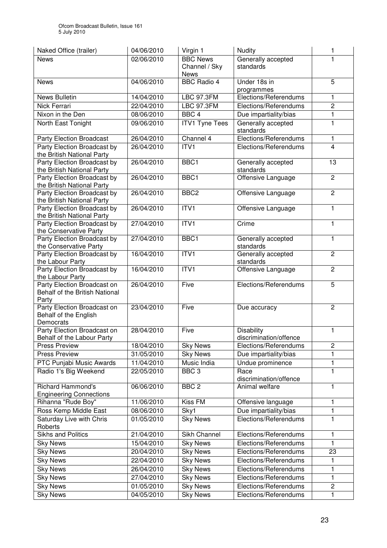| Naked Office (trailer)                                    | 04/06/2010 | Virgin 1              | Nudity                              | 1              |
|-----------------------------------------------------------|------------|-----------------------|-------------------------------------|----------------|
| <b>News</b>                                               | 02/06/2010 | <b>BBC News</b>       | Generally accepted                  | 1              |
|                                                           |            | Channel / Sky         | standards                           |                |
|                                                           |            | <b>News</b>           |                                     |                |
| <b>News</b>                                               | 04/06/2010 | <b>BBC Radio 4</b>    | Under 18s in                        | 5              |
| News Bulletin                                             | 14/04/2010 | <b>LBC 97.3FM</b>     | programmes<br>Elections/Referendums | $\mathbf{1}$   |
|                                                           |            |                       |                                     |                |
| Nick Ferrari                                              | 22/04/2010 | <b>LBC 97.3FM</b>     | Elections/Referendums               | $\overline{c}$ |
| Nixon in the Den                                          | 08/06/2010 | BBC <sub>4</sub>      | Due impartiality/bias               | 1              |
| North East Tonight                                        | 09/06/2010 | <b>ITV1 Tyne Tees</b> | Generally accepted<br>standards     | 1              |
| <b>Party Election Broadcast</b>                           | 26/04/2010 | Channel 4             | Elections/Referendums               | 1              |
| Party Election Broadcast by<br>the British National Party | 26/04/2010 | ITV <sub>1</sub>      | Elections/Referendums               | 4              |
| Party Election Broadcast by<br>the British National Party | 26/04/2010 | BBC1                  | Generally accepted<br>standards     | 13             |
| Party Election Broadcast by                               | 26/04/2010 | BBC1                  | Offensive Language                  | $\overline{c}$ |
| the British National Party                                |            |                       |                                     |                |
| Party Election Broadcast by<br>the British National Party | 26/04/2010 | BBC <sub>2</sub>      | Offensive Language                  | $\overline{2}$ |
| Party Election Broadcast by<br>the British National Party | 26/04/2010 | ITV1                  | Offensive Language                  | $\mathbf{1}$   |
| Party Election Broadcast by<br>the Conservative Party     | 27/04/2010 | ITV1                  | Crime                               | 1              |
| Party Election Broadcast by                               | 27/04/2010 | BBC1                  | Generally accepted                  | $\mathbf{1}$   |
| the Conservative Party<br>Party Election Broadcast by     | 16/04/2010 | ITV1                  | standards<br>Generally accepted     | $\overline{c}$ |
| the Labour Party                                          |            |                       | standards                           |                |
| Party Election Broadcast by                               | 16/04/2010 | ITV1                  | Offensive Language                  | $\overline{c}$ |
| the Labour Party                                          |            |                       |                                     |                |
| Party Election Broadcast on                               | 26/04/2010 | Five                  | Elections/Referendums               | 5              |
| Behalf of the British National                            |            |                       |                                     |                |
| Party                                                     | 23/04/2010 | Five                  |                                     | $\overline{2}$ |
| Party Election Broadcast on<br>Behalf of the English      |            |                       | Due accuracy                        |                |
| Democrats                                                 |            |                       |                                     |                |
| Party Election Broadcast on                               | 28/04/2010 | Five                  | <b>Disability</b>                   | 1              |
| Behalf of the Labour Party                                |            |                       | discrimination/offence              |                |
| <b>Press Preview</b>                                      | 18/04/2010 | <b>Sky News</b>       | Elections/Referendums               | $\overline{2}$ |
| <b>Press Preview</b>                                      | 31/05/2010 | <b>Sky News</b>       | Due impartiality/bias               | 1              |
| PTC Punjabi Music Awards                                  | 11/04/2010 | Music India           | Undue prominence                    | 1              |
| Radio 1's Big Weekend                                     | 22/05/2010 | BBC <sub>3</sub>      | Race                                | $\mathbf{1}$   |
|                                                           |            |                       | discrimination/offence              |                |
| <b>Richard Hammond's</b>                                  | 06/06/2010 | BBC <sub>2</sub>      | Animal welfare                      | 1              |
| <b>Engineering Connections</b>                            |            |                       |                                     |                |
| Rihanna "Rude Boy"                                        | 11/06/2010 | Kiss <sub>FM</sub>    | Offensive language                  | 1              |
| Ross Kemp Middle East                                     | 08/06/2010 | Sky1                  | Due impartiality/bias               | 1              |
| Saturday Live with Chris<br>Roberts                       | 01/05/2010 | <b>Sky News</b>       | Elections/Referendums               | 1              |
| <b>Sikhs and Politics</b>                                 | 21/04/2010 | Sikh Channel          | Elections/Referendums               | 1              |
| <b>Sky News</b>                                           | 15/04/2010 | <b>Sky News</b>       | Elections/Referendums               | 1              |
| <b>Sky News</b>                                           | 20/04/2010 | <b>Sky News</b>       | Elections/Referendums               | 23             |
| <b>Sky News</b>                                           | 22/04/2010 | <b>Sky News</b>       | Elections/Referendums               | 1              |
| <b>Sky News</b>                                           | 26/04/2010 | <b>Sky News</b>       | Elections/Referendums               | 1              |
| <b>Sky News</b>                                           | 27/04/2010 | <b>Sky News</b>       | Elections/Referendums               | 1              |
| <b>Sky News</b>                                           | 01/05/2010 | <b>Sky News</b>       | Elections/Referendums               | $\overline{2}$ |
| <b>Sky News</b>                                           | 04/05/2010 | <b>Sky News</b>       | Elections/Referendums               | 1              |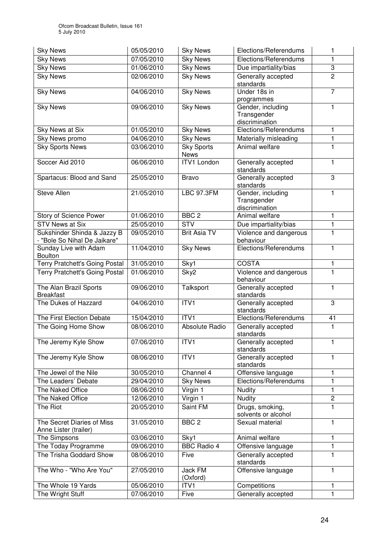| <b>Sky News</b>                                             | 05/05/2010 | <b>Sky News</b>                  | Elections/Referendums                              | 1              |
|-------------------------------------------------------------|------------|----------------------------------|----------------------------------------------------|----------------|
| <b>Sky News</b>                                             | 07/05/2010 | <b>Sky News</b>                  | Elections/Referendums                              | 1              |
| <b>Sky News</b>                                             | 01/06/2010 | <b>Sky News</b>                  | Due impartiality/bias                              | 3              |
| <b>Sky News</b>                                             | 02/06/2010 | <b>Sky News</b>                  | Generally accepted<br>standards                    | $\overline{2}$ |
| <b>Sky News</b>                                             | 04/06/2010 | <b>Sky News</b>                  | Under 18s in<br>programmes                         | $\overline{7}$ |
| <b>Sky News</b>                                             | 09/06/2010 | <b>Sky News</b>                  | Gender, including<br>Transgender<br>discrimination | 1              |
| Sky News at Six                                             | 01/05/2010 | <b>Sky News</b>                  | Elections/Referendums                              | 1              |
| <b>Sky News promo</b>                                       | 04/06/2010 | <b>Sky News</b>                  | Materially misleading                              | 1              |
| <b>Sky Sports News</b>                                      | 03/06/2010 | <b>Sky Sports</b><br><b>News</b> | Animal welfare                                     | 1              |
| Soccer Aid 2010                                             | 06/06/2010 | <b>ITV1 London</b>               | Generally accepted<br>standards                    | 1              |
| Spartacus: Blood and Sand                                   | 25/05/2010 | <b>Bravo</b>                     | Generally accepted<br>standards                    | 3              |
| <b>Steve Allen</b>                                          | 21/05/2010 | <b>LBC 97.3FM</b>                | Gender, including<br>Transgender<br>discrimination | 1              |
| Story of Science Power                                      | 01/06/2010 | BBC <sub>2</sub>                 | Animal welfare                                     | 1              |
| <b>STV News at Six</b>                                      | 25/05/2010 | <b>STV</b>                       | Due impartiality/bias                              | 1              |
| Sukshinder Shinda & Jazzy B<br>- "Bole So Nihal De Jaikare" | 09/05/2010 | <b>Brit Asia TV</b>              | Violence and dangerous<br>behaviour                | 1              |
| Sunday Live with Adam<br><b>Boulton</b>                     | 11/04/2010 | <b>Sky News</b>                  | Elections/Referendums                              | 1              |
| Terry Pratchett's Going Postal                              | 31/05/2010 | Sky1                             | <b>COSTA</b>                                       | 1              |
| <b>Terry Pratchett's Going Postal</b>                       | 01/06/2010 | Sky2                             | Violence and dangerous<br>behaviour                | 1              |
| The Alan Brazil Sports<br><b>Breakfast</b>                  | 09/06/2010 | Talksport                        | Generally accepted<br>standards                    | $\mathbf{1}$   |
| The Dukes of Hazzard                                        | 04/06/2010 | ITVI                             | Generally accepted<br>standards                    | 3              |
| The First Election Debate                                   | 15/04/2010 | ITVI                             | Elections/Referendums                              | 41             |
| The Going Home Show                                         | 08/06/2010 | Absolute Radio                   | Generally accepted<br>standards                    | 1              |
| The Jeremy Kyle Show                                        | 07/06/2010 | ITV1                             | Generally accepted<br>standards                    | 1              |
| The Jeremy Kyle Show                                        | 08/06/2010 | ITV1                             | Generally accepted<br>standards                    | $\mathbf{1}$   |
| The Jewel of the Nile                                       | 30/05/2010 | Channel 4                        | Offensive language                                 | 1              |
| The Leaders' Debate                                         | 29/04/2010 | <b>Sky News</b>                  | Elections/Referendums                              | 1              |
| The Naked Office                                            | 08/06/2010 | Virgin 1                         | <b>Nudity</b>                                      | 1              |
| The Naked Office                                            | 12/06/2010 | Virgin 1                         | Nudity                                             | $\overline{c}$ |
| The Riot                                                    | 20/05/2010 | Saint FM                         | Drugs, smoking,<br>solvents or alcohol             | 1              |
| The Secret Diaries of Miss<br>Anne Lister (trailer)         | 31/05/2010 | BBC <sub>2</sub>                 | Sexual material                                    | 1              |
| The Simpsons                                                | 03/06/2010 | Sky1                             | Animal welfare                                     | 1              |
| The Today Programme                                         | 09/06/2010 | <b>BBC Radio 4</b>               | Offensive language                                 | 1              |
| The Trisha Goddard Show                                     | 08/06/2010 | Five                             | Generally accepted<br>standards                    | 1              |
| The Who - "Who Are You"                                     | 27/05/2010 | Jack FM<br>(Oxford)              | Offensive language                                 | 1              |
| The Whole 19 Yards                                          | 05/06/2010 | ITV1                             | Competitions                                       | 1              |
| The Wright Stuff                                            | 07/06/2010 | Five                             | Generally accepted                                 | 1              |